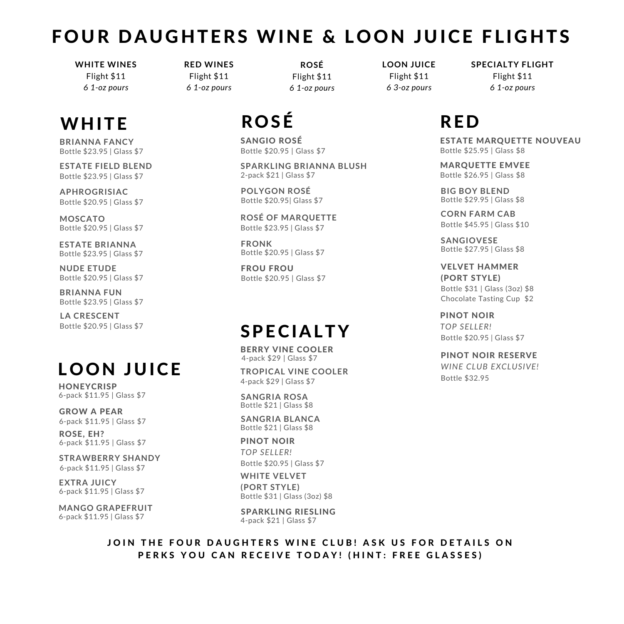# FOUR DAUGHTERS WINE & LOON JUICE FLIGHTS

**WHITE WINES** Flight \$11 *6 1-oz pours*

# WHITE ROSÉ RED

**BRIANNA FANCY** Bottle \$23.95 | Glass \$7

Bottle \$23.95 | Glass \$7 **ESTATE FIELD BLEND**

Bottle \$20.95 | Glass \$7 **APHROGRISIAC**

**MOSCATO** Bottle \$20.95 | Glass \$7

**ESTATE BRIANNA** Bottle \$23.95 | Glass \$7

**NUDE ETUDE** Bottle \$20.95 | Glass \$7

**BRIANNA FUN** Bottle \$23.95 | Glass \$7

Bottle \$20.95 | Glass \$7 **LA CRESCENT**

# L O O N JUICE

**HONEYCRISP** 6-pack \$11.95 | Glass \$7

6-pack \$11.95 | Glass \$7 GROW A PEAR

ROSE, EH? 6-pack \$11.95 | Glass \$7

6-pack \$11.95 | Glass \$7 **STRAWBERRY SHANDY**

**EXTRA JUICY** 6-pack \$11.95 | Glass \$7

**MANGO GRAPEFRUIT** 6-pack \$11.95 | Glass \$7

**RED WINES** Flight \$11 *6 1-oz pours*

**ROSÉ** Flight \$11 *6 1-oz pours*

Bottle \$20.95 | Glass \$7 SANGIO ROSÉ

**SPARKLING BRIANNA BLUSH** 2-pack \$21 | Glass \$7

**POLYGON ROSÉ** Bottle \$20.95| Glass \$7

Bottle \$23.95 | Glass \$7 **ROSÉ OF MARQUETTE**

**FRONK** Bottle \$20.95 | Glass \$7

FROU FROU Bottle \$20.95 | Glass \$7

# SPECIALTY

4-pack \$29 | Glass \$7 BERRY VINE COOLER

4-pack \$29 | Glass \$7 **TROPICAL VINE COOLER**

**SANGRIA ROSA** Bottle \$21 | Glass \$8

**SANGRIA BLANCA** Bottle \$21 | Glass \$8

Bottle \$31 | Glass (3oz) \$8 **WHITE VELVET (PORT STYLE)** PINOT NOIR *TOP SELLER!* Bottle \$20.95 | Glass \$7

SPARKLING RIESLING 4-pack \$21 | Glass \$7

**LOON JUICE** Flight \$11 *6 3-oz pours*

**SPECIALTY FLIGHT** Flight \$11 *6 1-oz pours*

ESTATE MARQUETTE NOUVEAU Bottle \$25.95 | Glass \$8

MARQUETTE EMVEE Bottle \$26.95 | Glass \$8

**BIG BOY BLEND** Bottle \$29.95 | Glass \$8

**CORN FARM CAB** Bottle \$45.95 | Glass \$10

**SANGIOVESE** Bottle \$27.95 | Glass \$8

Bottle \$31 | Glass (3oz) \$8 Chocolate Tasting Cup \$2 VELVET HAMMER (PORT STYLE)

PINOT NOIR *TOP SELLER!* Bottle \$20.95 | Glass \$7

PINOT NOIR RESERVE

Bottle \$32.95 *WINE CLUB EXCLUSIVE!*

JOIN THE FOUR DAUGHTERS WINE CLUB! ASK US FOR DETAILS ON PERKS YOU CAN RECEIVE TODAY! (HINT: FREE GLASSES)